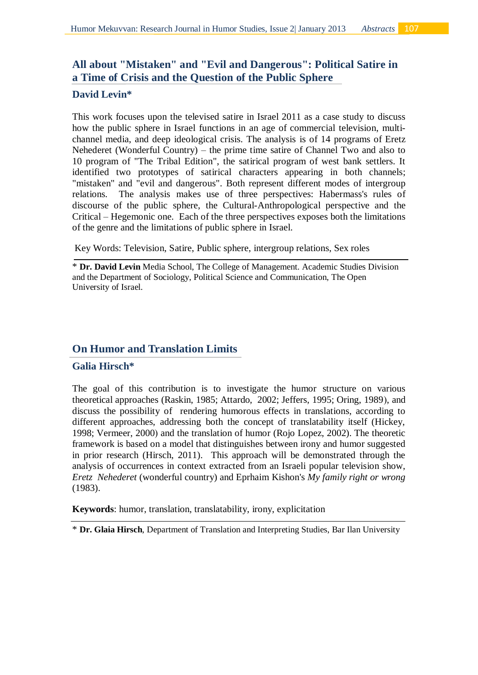# **All about "Mistaken" and "Evil and Dangerous": Political Satire in a Time of Crisis and the Question of the Public Sphere**

### **David Levin\***

This work focuses upon the televised satire in Israel 2011 as a case study to discuss how the public sphere in Israel functions in an age of commercial television, multichannel media, and deep ideological crisis. The analysis is of 14 programs of Eretz Nehederet (Wonderful Country) – the prime time satire of Channel Two and also to 10 program of "The Tribal Edition", the satirical program of west bank settlers. It identified two prototypes of satirical characters appearing in both channels; "mistaken" and "evil and dangerous". Both represent different modes of intergroup relations. The analysis makes use of three perspectives: Habermass's rules of discourse of the public sphere, the Cultural-Anthropological perspective and the Critical – Hegemonic one. Each of the three perspectives exposes both the limitations of the genre and the limitations of public sphere in Israel.

Key Words: Television, Satire, Public sphere, intergroup relations, Sex roles

\* **Dr. David Levin** Media School, The College of Management. Academic Studies Division and the Department of Sociology, Political Science and Communication, The Open University of Israel.

## **On Humor and Translation Limits**

### **Galia Hirsch\***

The goal of this contribution is to investigate the humor structure on various theoretical approaches (Raskin, 1985; Attardo, 2002; Jeffers, 1995; Oring, 1989), and discuss the possibility of rendering humorous effects in translations, according to different approaches, addressing both the concept of translatability itself (Hickey, 1998; Vermeer, 2000) and the translation of humor (Rojo Lopez, 2002). The theoretic framework is based on a model that distinguishes between irony and humor suggested in prior research (Hirsch, 2011). This approach will be demonstrated through the analysis of occurrences in context extracted from an Israeli popular television show, *Eretz Nehederet* (wonderful country) and Eprhaim Kishon's *My family right or wrong* (1983).

**Keywords**: humor, translation, translatability, irony, explicitation

\* **Dr. Glaia Hirsch**, Department of Translation and Interpreting Studies, Bar Ilan University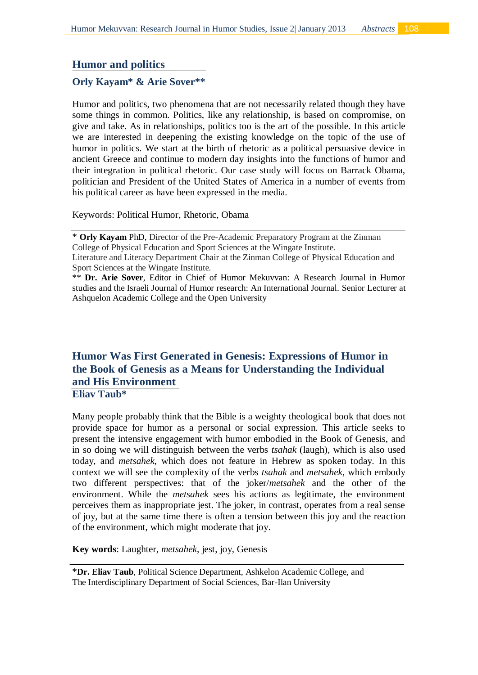## **Humor and politics**

#### **Orly Kayam\* & Arie Sover\*\***

Humor and politics, two phenomena that are not necessarily related though they have some things in common. Politics, like any relationship, is based on compromise, on give and take. As in relationships, politics too is the art of the possible. In this article we are interested in deepening the existing knowledge on the topic of the use of humor in politics. We start at the birth of rhetoric as a political persuasive device in ancient Greece and continue to modern day insights into the functions of humor and their integration in political rhetoric. Our case study will focus on Barrack Obama, politician and President of the United States of America in a number of events from his political career as have been expressed in the media.

Keywords: Political Humor, Rhetoric, Obama

\* **Orly Kayam** PhD, Director of the Pre-Academic Preparatory Program at the Zinman College of Physical Education and Sport Sciences at the Wingate Institute.

## **Humor Was First Generated in Genesis: Expressions of Humor in the Book of Genesis as a Means for Understanding the Individual and His Environment Eliav Taub\***

Many people probably think that the Bible is a weighty theological book that does not provide space for humor as a personal or social expression. This article seeks to present the intensive engagement with humor embodied in the Book of Genesis, and in so doing we will distinguish between the verbs *tsahak* (laugh), which is also used today, and *metsahek,* which does not feature in Hebrew as spoken today. In this context we will see the complexity of the verbs *tsahak* and *metsahek*, which embody two different perspectives: that of the joker/*metsahek* and the other of the environment. While the *metsahek* sees his actions as legitimate, the environment perceives them as inappropriate jest. The joker, in contrast, operates from a real sense of joy, but at the same time there is often a tension between this joy and the reaction of the environment, which might moderate that joy.

**Key words**: Laughter, *metsahek*, jest, joy, Genesis

Literature and Literacy Department Chair at the Zinman College of Physical Education and Sport Sciences at the Wingate Institute.

<sup>\*\*</sup> **Dr. Arie Sover**, Editor in Chief of Humor Mekuvvan: A Research Journal in Humor studies and the Israeli Journal of Humor research: An International Journal*.* Senior Lecturer at Ashquelon Academic College and the Open University

<sup>\*</sup>**Dr. Eliav Taub**, Political Science Department, Ashkelon Academic College, and The Interdisciplinary Department of Social Sciences, Bar-Ilan University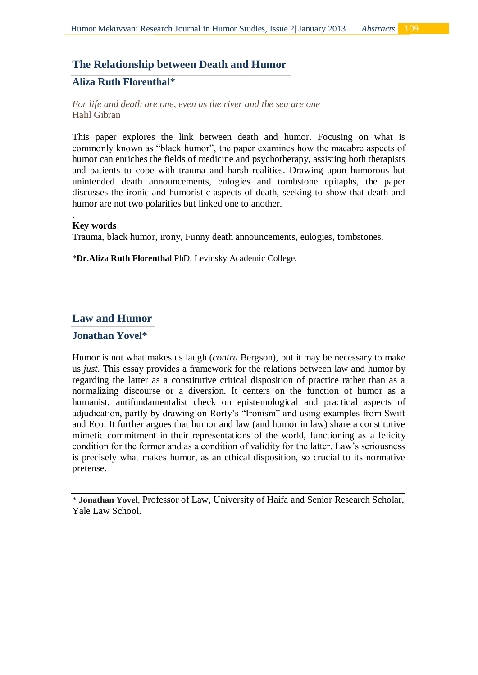#### **The Relationship between Death and Humor**

### **Aliza Ruth Florenthal\***

*For life and death are one, even as the river and the sea are one* Halil Gibran

This paper explores the link between death and humor. Focusing on what is commonly known as "black humor", the paper examines how the macabre aspects of humor can enriches the fields of medicine and psychotherapy, assisting both therapists and patients to cope with trauma and harsh realities. Drawing upon humorous but unintended death announcements, eulogies and tombstone epitaphs, the paper discusses the ironic and humoristic aspects of death, seeking to show that death and humor are not two polarities but linked one to another.

#### **Key words**

.

Trauma, black humor, irony, Funny death announcements, eulogies, tombstones.

\***Dr.Aliza Ruth Florenthal** PhD. Levinsky Academic College.

#### **Law and Humor**

#### **Jonathan Yovel\***

Humor is not what makes us laugh (*contra* Bergson), but it may be necessary to make us *just*. This essay provides a framework for the relations between law and humor by regarding the latter as a constitutive critical disposition of practice rather than as a normalizing discourse or a diversion. It centers on the function of humor as a humanist, antifundamentalist check on epistemological and practical aspects of adjudication, partly by drawing on Rorty's "Ironism" and using examples from Swift and Eco. It further argues that humor and law (and humor in law) share a constitutive mimetic commitment in their representations of the world, functioning as a felicity condition for the former and as a condition of validity for the latter. Law's seriousness is precisely what makes humor, as an ethical disposition, so crucial to its normative pretense.

\* **Jonathan Yovel**, Professor of Law, University of Haifa and Senior Research Scholar, Yale Law School.